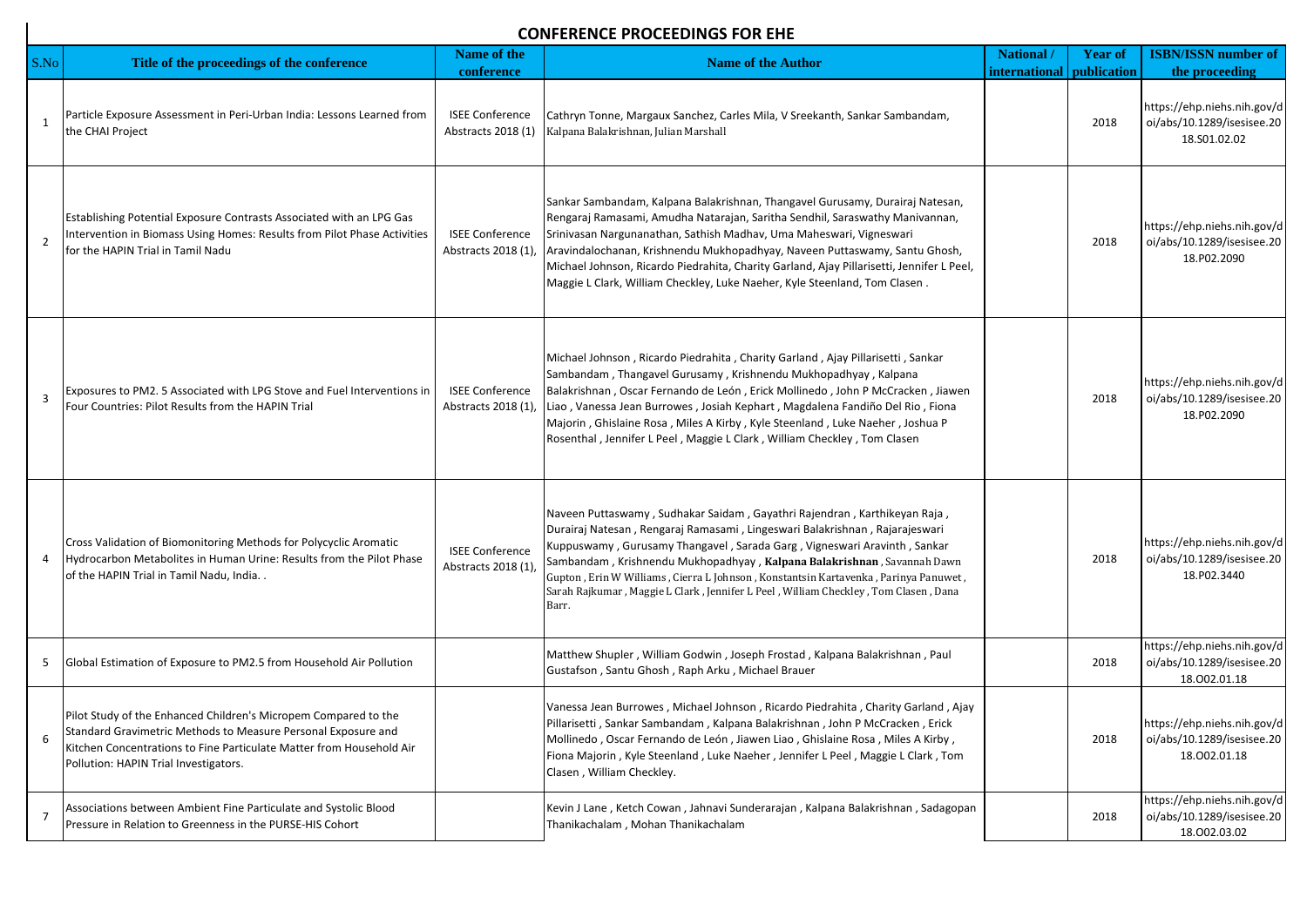## **CONFERENCE PROCEEDINGS FOR EHE**

| S.No           | Title of the proceedings of the conference                                                                                                                                                                                                        | <b>Name of the</b><br>conference             | <b>Name of the Author</b>                                                                                                                                                                                                                                                                                                                                                                                                                                                                              | National /<br>international | <b>Year of</b><br>publication | <b>ISBN/ISSN number of</b><br>the proceeding                              |
|----------------|---------------------------------------------------------------------------------------------------------------------------------------------------------------------------------------------------------------------------------------------------|----------------------------------------------|--------------------------------------------------------------------------------------------------------------------------------------------------------------------------------------------------------------------------------------------------------------------------------------------------------------------------------------------------------------------------------------------------------------------------------------------------------------------------------------------------------|-----------------------------|-------------------------------|---------------------------------------------------------------------------|
| 1              | Particle Exposure Assessment in Peri-Urban India: Lessons Learned from<br>the CHAI Project                                                                                                                                                        | <b>ISEE Conference</b><br>Abstracts 2018 (1) | Cathryn Tonne, Margaux Sanchez, Carles Mila, V Sreekanth, Sankar Sambandam,<br>Kalpana Balakrishnan, Julian Marshall                                                                                                                                                                                                                                                                                                                                                                                   |                             | 2018                          | https://ehp.niehs.nih.gov/d<br>oi/abs/10.1289/isesisee.20<br>18.S01.02.02 |
| $\overline{2}$ | Establishing Potential Exposure Contrasts Associated with an LPG Gas<br>Intervention in Biomass Using Homes: Results from Pilot Phase Activities<br>for the HAPIN Trial in Tamil Nadu                                                             | <b>ISEE Conference</b><br>Abstracts 2018 (1) | Sankar Sambandam, Kalpana Balakrishnan, Thangavel Gurusamy, Durairaj Natesan,<br>Rengaraj Ramasami, Amudha Natarajan, Saritha Sendhil, Saraswathy Manivannan,<br>Srinivasan Nargunanathan, Sathish Madhav, Uma Maheswari, Vigneswari<br>Aravindalochanan, Krishnendu Mukhopadhyay, Naveen Puttaswamy, Santu Ghosh,<br>Michael Johnson, Ricardo Piedrahita, Charity Garland, Ajay Pillarisetti, Jennifer L Peel,<br>Maggie L Clark, William Checkley, Luke Naeher, Kyle Steenland, Tom Clasen.          |                             | 2018                          | https://ehp.niehs.nih.gov/d<br>oi/abs/10.1289/isesisee.20<br>18.P02.2090  |
| $\overline{3}$ | Exposures to PM2. 5 Associated with LPG Stove and Fuel Interventions in<br>Four Countries: Pilot Results from the HAPIN Trial                                                                                                                     | <b>ISEE Conference</b><br>Abstracts 2018 (1) | Michael Johnson, Ricardo Piedrahita, Charity Garland, Ajay Pillarisetti, Sankar<br>Sambandam, Thangavel Gurusamy, Krishnendu Mukhopadhyay, Kalpana<br>Balakrishnan, Oscar Fernando de León, Erick Mollinedo, John P McCracken, Jiawen<br>Liao, Vanessa Jean Burrowes, Josiah Kephart, Magdalena Fandiño Del Rio, Fiona<br>Majorin, Ghislaine Rosa, Miles A Kirby, Kyle Steenland, Luke Naeher, Joshua P<br>Rosenthal, Jennifer L Peel, Maggie L Clark, William Checkley, Tom Clasen                    |                             | 2018                          | https://ehp.niehs.nih.gov/d<br>oi/abs/10.1289/isesisee.20<br>18.P02.2090  |
| 4              | Cross Validation of Biomonitoring Methods for Polycyclic Aromatic<br>Hydrocarbon Metabolites in Human Urine: Results from the Pilot Phase<br>of the HAPIN Trial in Tamil Nadu, India                                                              | <b>ISEE Conference</b><br>Abstracts 2018 (1) | Naveen Puttaswamy, Sudhakar Saidam, Gayathri Rajendran, Karthikeyan Raja,<br>Durairaj Natesan, Rengaraj Ramasami, Lingeswari Balakrishnan, Rajarajeswari<br>Kuppuswamy, Gurusamy Thangavel, Sarada Garg, Vigneswari Aravinth, Sankar<br>Sambandam, Krishnendu Mukhopadhyay, Kalpana Balakrishnan, Savannah Dawn<br>Gupton, Erin W Williams, Cierra L Johnson, Konstantsin Kartavenka, Parinya Panuwet,<br>Sarah Rajkumar, Maggie L Clark, Jennifer L Peel, William Checkley, Tom Clasen, Dana<br>Barr. |                             | 2018                          | https://ehp.niehs.nih.gov/d<br>oi/abs/10.1289/isesisee.20<br>18.P02.3440  |
| 5              | Global Estimation of Exposure to PM2.5 from Household Air Pollution                                                                                                                                                                               |                                              | Matthew Shupler, William Godwin, Joseph Frostad, Kalpana Balakrishnan, Paul<br>Gustafson, Santu Ghosh, Raph Arku, Michael Brauer                                                                                                                                                                                                                                                                                                                                                                       |                             | 2018                          | https://ehp.niehs.nih.gov/d<br>oi/abs/10.1289/isesisee.20<br>18.002.01.18 |
| 6              | Pilot Study of the Enhanced Children's Micropem Compared to the<br>Standard Gravimetric Methods to Measure Personal Exposure and<br>Kitchen Concentrations to Fine Particulate Matter from Household Air<br>Pollution: HAPIN Trial Investigators. |                                              | Vanessa Jean Burrowes, Michael Johnson, Ricardo Piedrahita, Charity Garland, Ajay<br>Pillarisetti, Sankar Sambandam, Kalpana Balakrishnan, John P McCracken, Erick<br>Mollinedo, Oscar Fernando de León, Jiawen Liao, Ghislaine Rosa, Miles A Kirby,<br>Fiona Majorin, Kyle Steenland, Luke Naeher, Jennifer L Peel, Maggie L Clark, Tom<br>Clasen, William Checkley.                                                                                                                                  |                             | 2018                          | https://ehp.niehs.nih.gov/d<br>oi/abs/10.1289/isesisee.20<br>18.002.01.18 |
| $\overline{7}$ | Associations between Ambient Fine Particulate and Systolic Blood<br>Pressure in Relation to Greenness in the PURSE-HIS Cohort                                                                                                                     |                                              | Kevin J Lane, Ketch Cowan, Jahnavi Sunderarajan, Kalpana Balakrishnan, Sadagopan<br>Thanikachalam, Mohan Thanikachalam                                                                                                                                                                                                                                                                                                                                                                                 |                             | 2018                          | https://ehp.niehs.nih.gov/d<br>oi/abs/10.1289/isesisee.20<br>18.002.03.02 |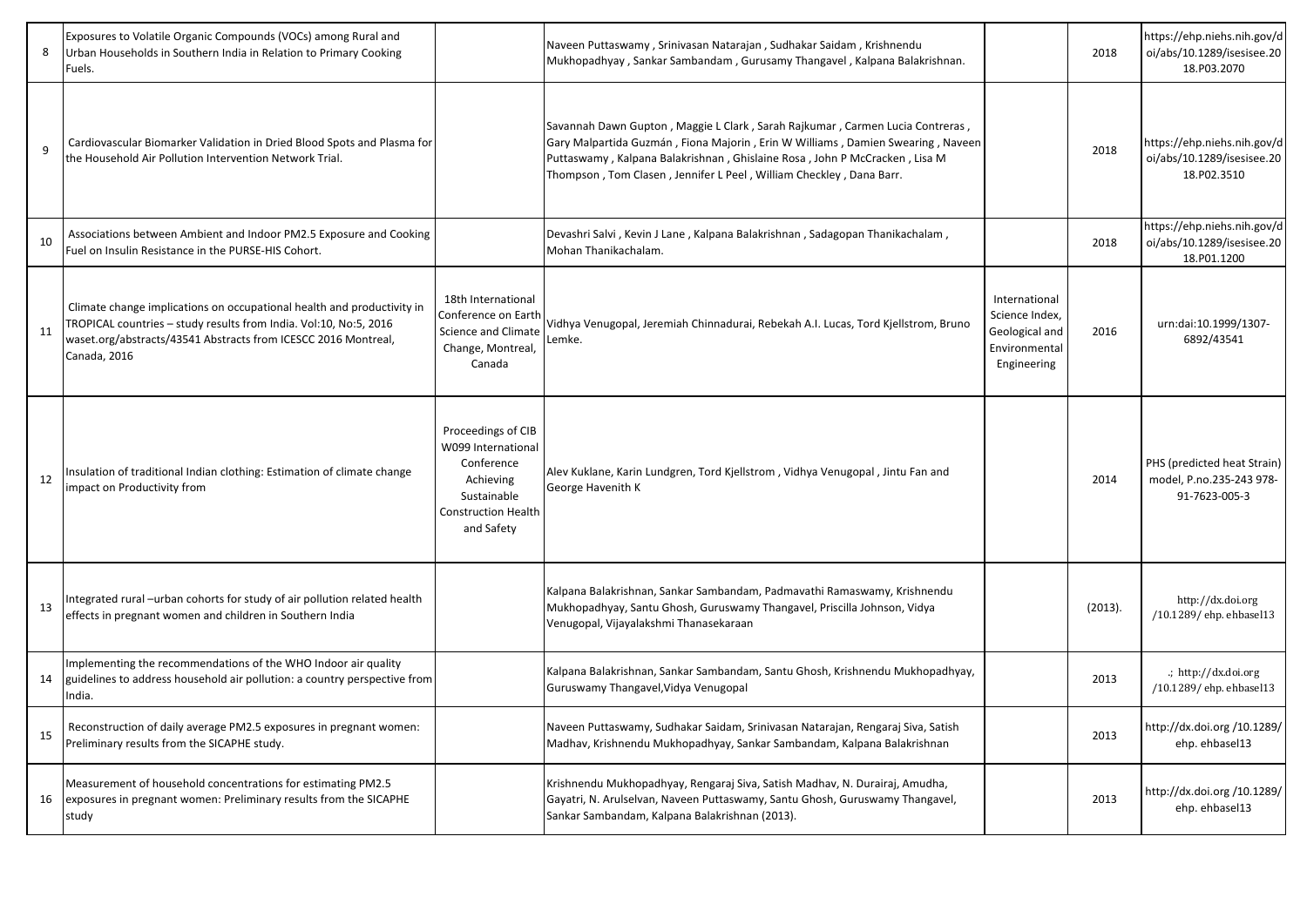| 8            | Exposures to Volatile Organic Compounds (VOCs) among Rural and<br>Urban Households in Southern India in Relation to Primary Cooking<br>Fuels.                                                                                 |                                                                                                                                | Naveen Puttaswamy, Srinivasan Natarajan, Sudhakar Saidam, Krishnendu<br>Mukhopadhyay, Sankar Sambandam, Gurusamy Thangavel, Kalpana Balakrishnan.                                                                                                                                                                     |                                                                                   | 2018    | https://ehp.niehs.nih.gov/d<br>oi/abs/10.1289/isesisee.20<br>18.P03.2070 |
|--------------|-------------------------------------------------------------------------------------------------------------------------------------------------------------------------------------------------------------------------------|--------------------------------------------------------------------------------------------------------------------------------|-----------------------------------------------------------------------------------------------------------------------------------------------------------------------------------------------------------------------------------------------------------------------------------------------------------------------|-----------------------------------------------------------------------------------|---------|--------------------------------------------------------------------------|
| $\mathbf{q}$ | Cardiovascular Biomarker Validation in Dried Blood Spots and Plasma for<br>the Household Air Pollution Intervention Network Trial.                                                                                            |                                                                                                                                | Savannah Dawn Gupton, Maggie L Clark, Sarah Rajkumar, Carmen Lucia Contreras,<br>Gary Malpartida Guzmán, Fiona Majorin, Erin W Williams, Damien Swearing, Naveen<br>Puttaswamy, Kalpana Balakrishnan, Ghislaine Rosa, John P McCracken, Lisa M<br>Thompson, Tom Clasen, Jennifer L Peel, William Checkley, Dana Barr. |                                                                                   | 2018    | https://ehp.niehs.nih.gov/d<br>oi/abs/10.1289/isesisee.20<br>18.P02.3510 |
| 10           | Associations between Ambient and Indoor PM2.5 Exposure and Cooking<br>Fuel on Insulin Resistance in the PURSE-HIS Cohort.                                                                                                     |                                                                                                                                | Devashri Salvi, Kevin J Lane, Kalpana Balakrishnan, Sadagopan Thanikachalam,<br>Mohan Thanikachalam.                                                                                                                                                                                                                  |                                                                                   | 2018    | https://ehp.niehs.nih.gov/d<br>oi/abs/10.1289/isesisee.20<br>18.P01.1200 |
| 11           | Climate change implications on occupational health and productivity in<br>TROPICAL countries - study results from India. Vol:10, No:5, 2016<br>waset.org/abstracts/43541 Abstracts from ICESCC 2016 Montreal,<br>Canada, 2016 | 18th International<br>Conference on Eartl<br>Science and Climate<br>Change, Montreal,<br>Canada                                | Vidhya Venugopal, Jeremiah Chinnadurai, Rebekah A.I. Lucas, Tord Kjellstrom, Bruno<br>Lemke.                                                                                                                                                                                                                          | International<br>Science Index,<br>Geological and<br>Environmental<br>Engineering | 2016    | urn:dai:10.1999/1307-<br>6892/43541                                      |
| 12           | Insulation of traditional Indian clothing: Estimation of climate change<br>impact on Productivity from                                                                                                                        | Proceedings of CIB<br>W099 International<br>Conference<br>Achieving<br>Sustainable<br><b>Construction Health</b><br>and Safety | Alev Kuklane, Karin Lundgren, Tord Kjellstrom, Vidhya Venugopal, Jintu Fan and<br>George Havenith K                                                                                                                                                                                                                   |                                                                                   | 2014    | PHS (predicted heat Strain)<br>model, P.no.235-243 978-<br>91-7623-005-3 |
| 13           | ntegrated rural -urban cohorts for study of air pollution related health<br>effects in pregnant women and children in Southern India                                                                                          |                                                                                                                                | Kalpana Balakrishnan, Sankar Sambandam, Padmavathi Ramaswamy, Krishnendu<br>Mukhopadhyay, Santu Ghosh, Guruswamy Thangavel, Priscilla Johnson, Vidya<br>Venugopal, Vijayalakshmi Thanasekaraan                                                                                                                        |                                                                                   | (2013). | http://dx.doi.org<br>/10.1289/ehp.ehbasel13                              |
| 14           | Implementing the recommendations of the WHO Indoor air quality<br>guidelines to address household air pollution: a country perspective from<br>India.                                                                         |                                                                                                                                | Kalpana Balakrishnan, Sankar Sambandam, Santu Ghosh, Krishnendu Mukhopadhyay,<br>Guruswamy Thangavel, Vidya Venugopal                                                                                                                                                                                                 |                                                                                   | 2013    | .; http://dx.doi.org<br>/10.1289/ehp.ehbasel13                           |
| 15           | Reconstruction of daily average PM2.5 exposures in pregnant women:<br>Preliminary results from the SICAPHE study.                                                                                                             |                                                                                                                                | Naveen Puttaswamy, Sudhakar Saidam, Srinivasan Natarajan, Rengaraj Siva, Satish<br>Madhav, Krishnendu Mukhopadhyay, Sankar Sambandam, Kalpana Balakrishnan                                                                                                                                                            |                                                                                   | 2013    | http://dx.doi.org/10.1289/<br>ehp. ehbasel13                             |
| 16           | Measurement of household concentrations for estimating PM2.5<br>exposures in pregnant women: Preliminary results from the SICAPHE<br>study                                                                                    |                                                                                                                                | Krishnendu Mukhopadhyay, Rengaraj Siva, Satish Madhav, N. Durairaj, Amudha,<br>Gayatri, N. Arulselvan, Naveen Puttaswamy, Santu Ghosh, Guruswamy Thangavel,<br>Sankar Sambandam, Kalpana Balakrishnan (2013).                                                                                                         |                                                                                   | 2013    | http://dx.doi.org /10.1289/<br>ehp. ehbasel13                            |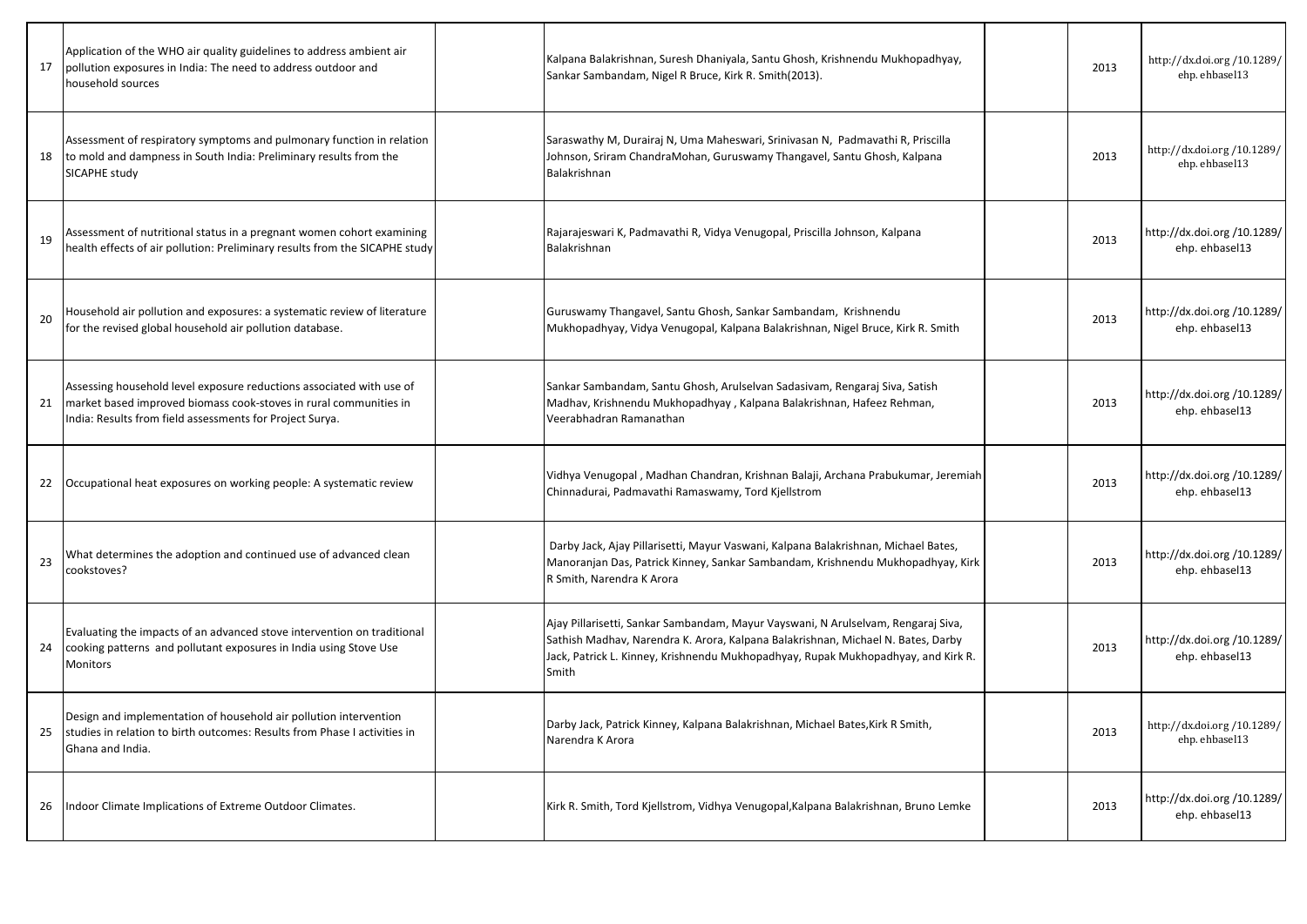| 17 | Application of the WHO air quality guidelines to address ambient air<br>pollution exposures in India: The need to address outdoor and<br>household sources                                            | Kalpana Balakrishnan, Suresh Dhaniyala, Santu Ghosh, Krishnendu Mukhopadhyay,<br>Sankar Sambandam, Nigel R Bruce, Kirk R. Smith(2013).                                                                                                                              | 2013 | http://dx.doi.org/10.1289/<br>ehp. ehbasel13  |
|----|-------------------------------------------------------------------------------------------------------------------------------------------------------------------------------------------------------|---------------------------------------------------------------------------------------------------------------------------------------------------------------------------------------------------------------------------------------------------------------------|------|-----------------------------------------------|
| 18 | Assessment of respiratory symptoms and pulmonary function in relation<br>to mold and dampness in South India: Preliminary results from the<br>SICAPHE study                                           | Saraswathy M, Durairaj N, Uma Maheswari, Srinivasan N, Padmavathi R, Priscilla<br>Johnson, Sriram ChandraMohan, Guruswamy Thangavel, Santu Ghosh, Kalpana<br>Balakrishnan                                                                                           | 2013 | http://dx.doi.org/10.1289/<br>ehp. ehbasel13  |
| 19 | Assessment of nutritional status in a pregnant women cohort examining<br>health effects of air pollution: Preliminary results from the SICAPHE study                                                  | Rajarajeswari K, Padmavathi R, Vidya Venugopal, Priscilla Johnson, Kalpana<br>Balakrishnan                                                                                                                                                                          | 2013 | http://dx.doi.org /10.1289/<br>ehp. ehbasel13 |
| 20 | Household air pollution and exposures: a systematic review of literature<br>for the revised global household air pollution database.                                                                  | Guruswamy Thangavel, Santu Ghosh, Sankar Sambandam, Krishnendu<br>Mukhopadhyay, Vidya Venugopal, Kalpana Balakrishnan, Nigel Bruce, Kirk R. Smith                                                                                                                   | 2013 | http://dx.doi.org /10.1289/<br>ehp. ehbasel13 |
| 21 | Assessing household level exposure reductions associated with use of<br>market based improved biomass cook-stoves in rural communities in<br>India: Results from field assessments for Project Surya. | Sankar Sambandam, Santu Ghosh, Arulselvan Sadasivam, Rengaraj Siva, Satish<br>Madhav, Krishnendu Mukhopadhyay, Kalpana Balakrishnan, Hafeez Rehman,<br>Veerabhadran Ramanathan                                                                                      | 2013 | http://dx.doi.org /10.1289/<br>ehp. ehbasel13 |
|    | 22 <b>Occupational heat exposures on working people:</b> A systematic review                                                                                                                          | Vidhya Venugopal, Madhan Chandran, Krishnan Balaji, Archana Prabukumar, Jeremiah<br>Chinnadurai, Padmavathi Ramaswamy, Tord Kjellstrom                                                                                                                              | 2013 | http://dx.doi.org /10.1289/<br>ehp. ehbasel13 |
| 23 | What determines the adoption and continued use of advanced clean<br>cookstoves?                                                                                                                       | Darby Jack, Ajay Pillarisetti, Mayur Vaswani, Kalpana Balakrishnan, Michael Bates,<br>Manoranjan Das, Patrick Kinney, Sankar Sambandam, Krishnendu Mukhopadhyay, Kirk<br>R Smith, Narendra K Arora                                                                  | 2013 | http://dx.doi.org /10.1289/<br>ehp. ehbasel13 |
| 24 | Evaluating the impacts of an advanced stove intervention on traditional<br>cooking patterns and pollutant exposures in India using Stove Use<br>Monitors                                              | Ajay Pillarisetti, Sankar Sambandam, Mayur Vayswani, N Arulselvam, Rengaraj Siva,<br>Sathish Madhav, Narendra K. Arora, Kalpana Balakrishnan, Michael N. Bates, Darby<br>Jack, Patrick L. Kinney, Krishnendu Mukhopadhyay, Rupak Mukhopadhyay, and Kirk R.<br>Smith | 2013 | http://dx.doi.org /10.1289/<br>ehp. ehbasel13 |
| 25 | Design and implementation of household air pollution intervention<br>studies in relation to birth outcomes: Results from Phase I activities in<br>Ghana and India.                                    | Darby Jack, Patrick Kinney, Kalpana Balakrishnan, Michael Bates, Kirk R Smith,<br>Narendra K Arora                                                                                                                                                                  | 2013 | http://dx.doi.org/10.1289/<br>ehp. ehbasel13  |
| 26 | Indoor Climate Implications of Extreme Outdoor Climates.                                                                                                                                              | Kirk R. Smith, Tord Kjellstrom, Vidhya Venugopal, Kalpana Balakrishnan, Bruno Lemke                                                                                                                                                                                 | 2013 | http://dx.doi.org /10.1289/<br>ehp. ehbasel13 |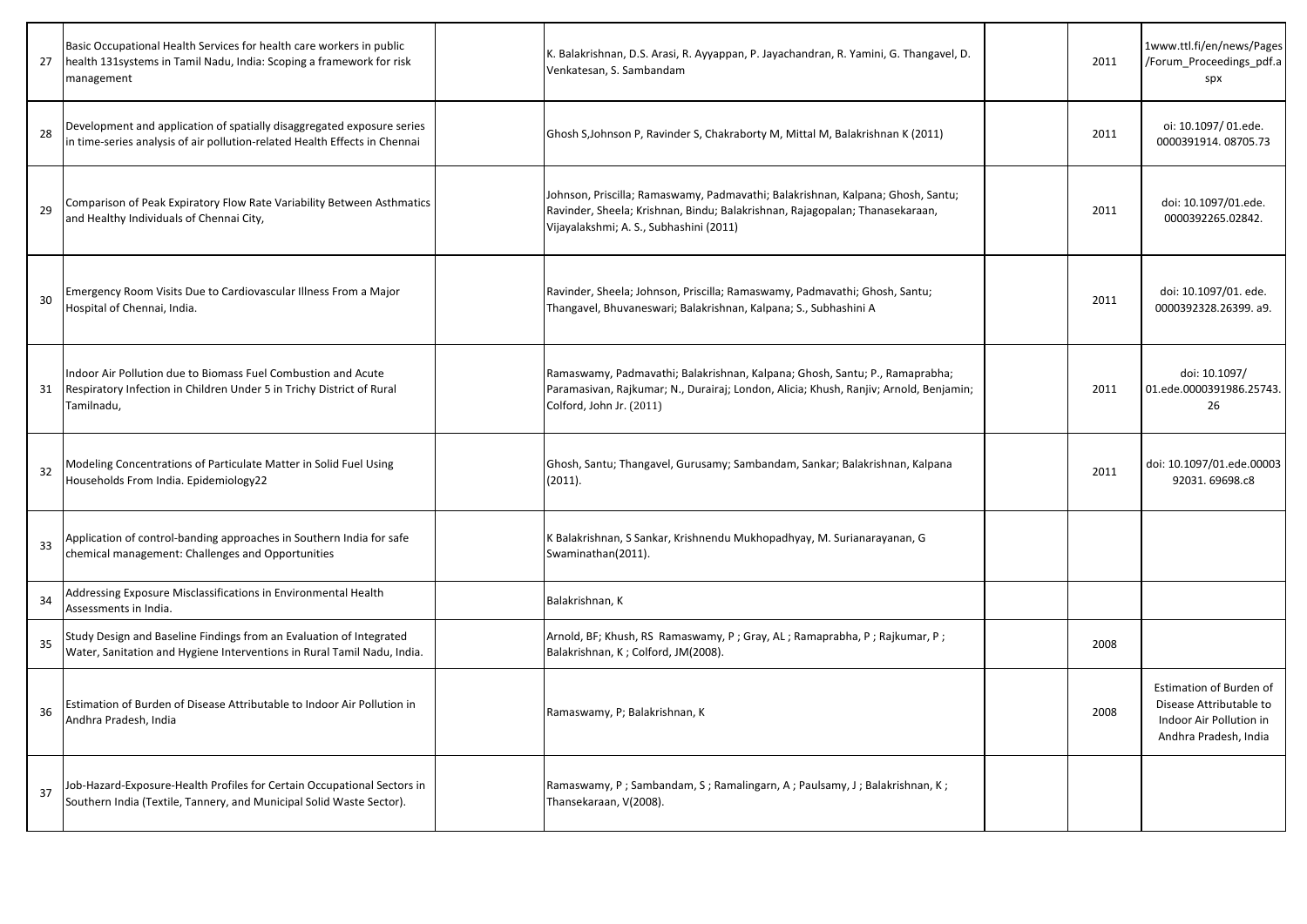| 27 | Basic Occupational Health Services for health care workers in public<br>health 131systems in Tamil Nadu, India: Scoping a framework for risk<br>management | K. Balakrishnan, D.S. Arasi, R. Ayyappan, P. Jayachandran, R. Yamini, G. Thangavel, D.<br>Venkatesan, S. Sambandam                                                                                         | 2011 | 1www.ttl.fi/en/news/Pages<br>/Forum Proceedings pdf.a<br>spx                                           |
|----|------------------------------------------------------------------------------------------------------------------------------------------------------------|------------------------------------------------------------------------------------------------------------------------------------------------------------------------------------------------------------|------|--------------------------------------------------------------------------------------------------------|
| 28 | Development and application of spatially disaggregated exposure series<br>in time-series analysis of air pollution-related Health Effects in Chennai       | Ghosh S, Johnson P, Ravinder S, Chakraborty M, Mittal M, Balakrishnan K (2011)                                                                                                                             | 2011 | oi: 10.1097/01.ede.<br>0000391914.08705.73                                                             |
| 29 | Comparison of Peak Expiratory Flow Rate Variability Between Asthmatics<br>and Healthy Individuals of Chennai City,                                         | Johnson, Priscilla; Ramaswamy, Padmavathi; Balakrishnan, Kalpana; Ghosh, Santu;<br>Ravinder, Sheela; Krishnan, Bindu; Balakrishnan, Rajagopalan; Thanasekaraan,<br>Vijayalakshmi; A. S., Subhashini (2011) | 2011 | doi: 10.1097/01.ede.<br>0000392265.02842.                                                              |
| 30 | Emergency Room Visits Due to Cardiovascular Illness From a Major<br>Hospital of Chennai, India.                                                            | Ravinder, Sheela; Johnson, Priscilla; Ramaswamy, Padmavathi; Ghosh, Santu;<br>Thangavel, Bhuvaneswari; Balakrishnan, Kalpana; S., Subhashini A                                                             | 2011 | doi: 10.1097/01. ede.<br>0000392328.26399. a9.                                                         |
| 31 | Indoor Air Pollution due to Biomass Fuel Combustion and Acute<br>Respiratory Infection in Children Under 5 in Trichy District of Rural<br>Tamilnadu,       | Ramaswamy, Padmavathi; Balakrishnan, Kalpana; Ghosh, Santu; P., Ramaprabha;<br>Paramasivan, Rajkumar; N., Durairaj; London, Alicia; Khush, Ranjiv; Arnold, Benjamin;<br>Colford, John Jr. (2011)           | 2011 | doi: 10.1097/<br>01.ede.0000391986.25743.<br>26                                                        |
| 32 | Modeling Concentrations of Particulate Matter in Solid Fuel Using<br>Households From India. Epidemiology22                                                 | Ghosh, Santu; Thangavel, Gurusamy; Sambandam, Sankar; Balakrishnan, Kalpana<br>(2011).                                                                                                                     | 2011 | doi: 10.1097/01.ede.00003<br>92031.69698.c8                                                            |
| 33 | Application of control-banding approaches in Southern India for safe<br>chemical management: Challenges and Opportunities                                  | K Balakrishnan, S Sankar, Krishnendu Mukhopadhyay, M. Surianarayanan, G<br>Swaminathan(2011).                                                                                                              |      |                                                                                                        |
| 34 | Addressing Exposure Misclassifications in Environmental Health<br>Assessments in India.                                                                    | Balakrishnan, K                                                                                                                                                                                            |      |                                                                                                        |
| 35 | Study Design and Baseline Findings from an Evaluation of Integrated<br>Water, Sanitation and Hygiene Interventions in Rural Tamil Nadu, India.             | Arnold, BF; Khush, RS Ramaswamy, P; Gray, AL; Ramaprabha, P; Rajkumar, P;<br>Balakrishnan, K; Colford, JM(2008).                                                                                           | 2008 |                                                                                                        |
| 36 | Estimation of Burden of Disease Attributable to Indoor Air Pollution in<br>Andhra Pradesh, India                                                           | Ramaswamy, P; Balakrishnan, K                                                                                                                                                                              | 2008 | Estimation of Burden of<br>Disease Attributable to<br>Indoor Air Pollution in<br>Andhra Pradesh, India |
| 37 | Job-Hazard-Exposure-Health Profiles for Certain Occupational Sectors in<br>Southern India (Textile, Tannery, and Municipal Solid Waste Sector).            | Ramaswamy, P; Sambandam, S; Ramalingarn, A; Paulsamy, J; Balakrishnan, K;<br>Thansekaraan, V(2008).                                                                                                        |      |                                                                                                        |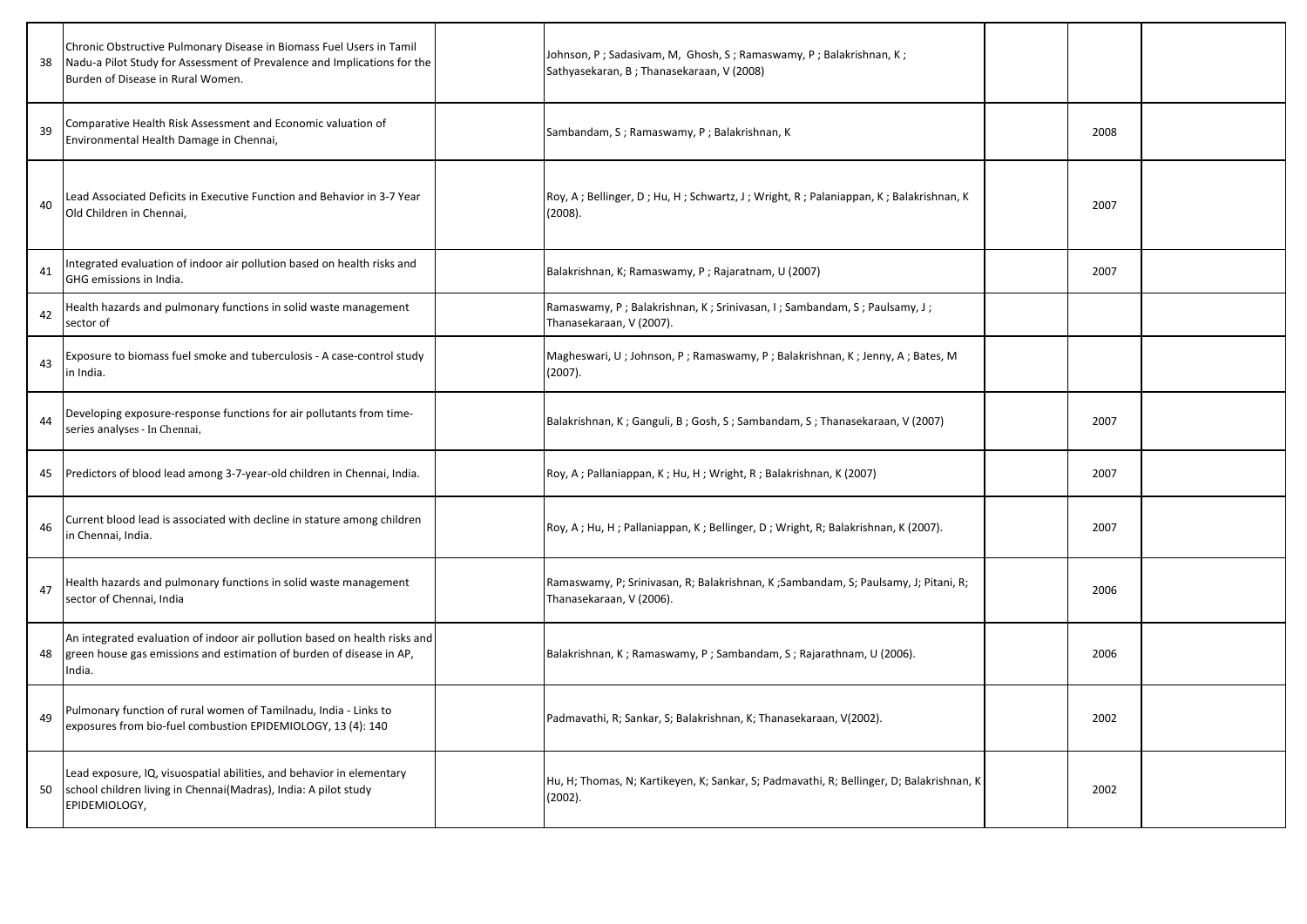| 38 | Chronic Obstructive Pulmonary Disease in Biomass Fuel Users in Tamil<br>Nadu-a Pilot Study for Assessment of Prevalence and Implications for the<br>Burden of Disease in Rural Women. | Johnson, P; Sadasivam, M, Ghosh, S; Ramaswamy, P; Balakrishnan, K;<br>Sathyasekaran, B; Thanasekaraan, V (2008) |      |  |
|----|---------------------------------------------------------------------------------------------------------------------------------------------------------------------------------------|-----------------------------------------------------------------------------------------------------------------|------|--|
| 39 | Comparative Health Risk Assessment and Economic valuation of<br>Environmental Health Damage in Chennai,                                                                               | Sambandam, S; Ramaswamy, P; Balakrishnan, K                                                                     | 2008 |  |
| 40 | Lead Associated Deficits in Executive Function and Behavior in 3-7 Year<br>Old Children in Chennai,                                                                                   | Roy, A; Bellinger, D; Hu, H; Schwartz, J; Wright, R; Palaniappan, K; Balakrishnan, K<br>(2008).                 | 2007 |  |
| 41 | ntegrated evaluation of indoor air pollution based on health risks and<br>GHG emissions in India.                                                                                     | Balakrishnan, K; Ramaswamy, P; Rajaratnam, U (2007)                                                             | 2007 |  |
| 42 | Health hazards and pulmonary functions in solid waste management<br>sector of                                                                                                         | Ramaswamy, P; Balakrishnan, K; Srinivasan, I; Sambandam, S; Paulsamy, J;<br>Thanasekaraan, V (2007).            |      |  |
| 43 | Exposure to biomass fuel smoke and tuberculosis - A case-control study<br>in India.                                                                                                   | Magheswari, U; Johnson, P; Ramaswamy, P; Balakrishnan, K; Jenny, A; Bates, M<br>(2007).                         |      |  |
| 44 | Developing exposure-response functions for air pollutants from time-<br>series analyses - In Chennai,                                                                                 | Balakrishnan, K; Ganguli, B; Gosh, S; Sambandam, S; Thanasekaraan, V (2007)                                     | 2007 |  |
| 45 | Predictors of blood lead among 3-7-year-old children in Chennai, India.                                                                                                               | Roy, A; Pallaniappan, K; Hu, H; Wright, R; Balakrishnan, K (2007)                                               | 2007 |  |
| 46 | Current blood lead is associated with decline in stature among children<br>in Chennai, India.                                                                                         | Roy, A; Hu, H; Pallaniappan, K; Bellinger, D; Wright, R; Balakrishnan, K (2007).                                | 2007 |  |
| 47 | Health hazards and pulmonary functions in solid waste management<br>sector of Chennai, India                                                                                          | Ramaswamy, P; Srinivasan, R; Balakrishnan, K; Sambandam, S; Paulsamy, J; Pitani, R;<br>Thanasekaraan, V (2006). | 2006 |  |
| 48 | An integrated evaluation of indoor air pollution based on health risks and<br>green house gas emissions and estimation of burden of disease in AP,<br>India.                          | Balakrishnan, K; Ramaswamy, P; Sambandam, S; Rajarathnam, U (2006).                                             | 2006 |  |
| 49 | Pulmonary function of rural women of Tamilnadu, India - Links to<br>exposures from bio-fuel combustion EPIDEMIOLOGY, 13 (4): 140                                                      | Padmavathi, R; Sankar, S; Balakrishnan, K; Thanasekaraan, V(2002).                                              | 2002 |  |
| 50 | Lead exposure, IQ, visuospatial abilities, and behavior in elementary<br>school children living in Chennai(Madras), India: A pilot study<br>EPIDEMIOLOGY,                             | Hu, H; Thomas, N; Kartikeyen, K; Sankar, S; Padmavathi, R; Bellinger, D; Balakrishnan, K<br>(2002).             | 2002 |  |